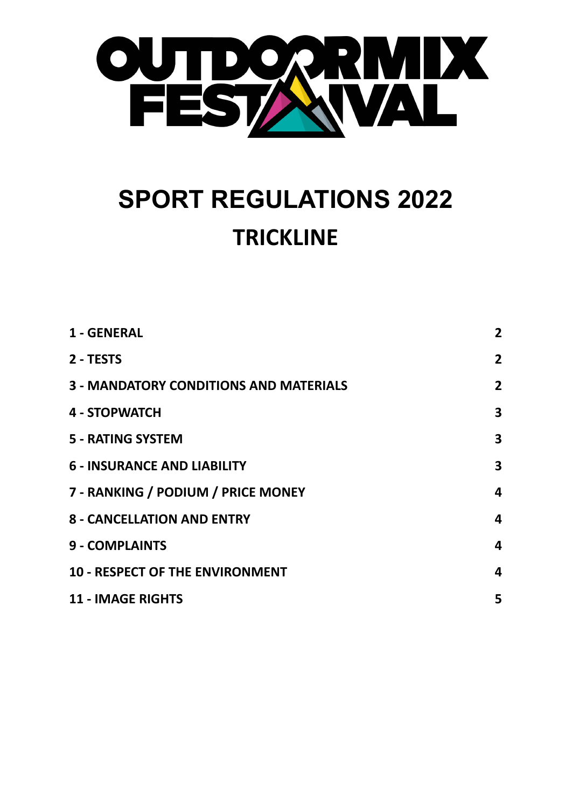

# **SPORT REGULATIONS 2022 TRICKLINE**

| 1 - GENERAL                                   | $\mathbf{2}$   |
|-----------------------------------------------|----------------|
| 2 - TESTS                                     | $\overline{2}$ |
| <b>3 - MANDATORY CONDITIONS AND MATERIALS</b> | $\overline{2}$ |
| 4 - STOPWATCH                                 | 3              |
| <b>5 - RATING SYSTEM</b>                      | 3              |
| <b>6 - INSURANCE AND LIABILITY</b>            | 3              |
| 7 - RANKING / PODIUM / PRICE MONEY            | 4              |
| <b>8 - CANCELLATION AND ENTRY</b>             | 4              |
| <b>9 - COMPLAINTS</b>                         | 4              |
| <b>10 - RESPECT OF THE ENVIRONMENT</b>        | 4              |
| <b>11 - IMAGE RIGHTS</b>                      | 5              |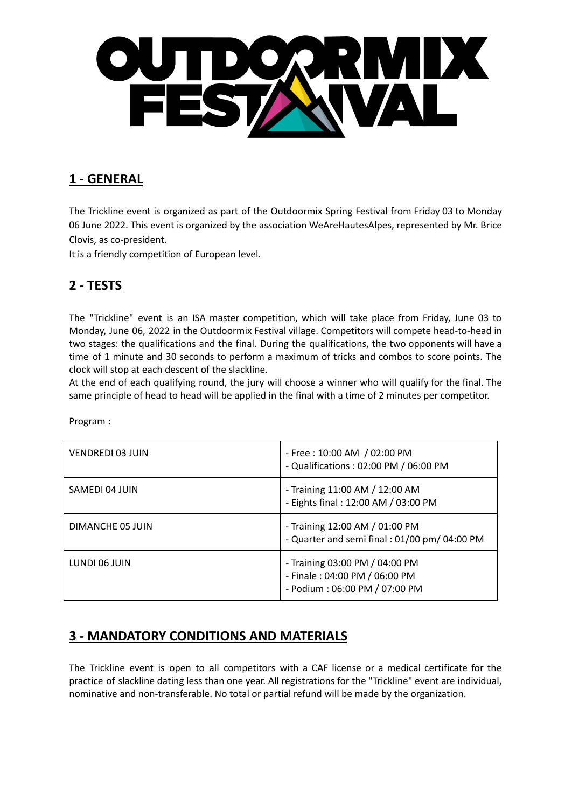

#### <span id="page-1-0"></span>**1 - GENERAL**

The Trickline event is organized as part of the Outdoormix Spring Festival from Friday 03 to Monday 06 June 2022. This event is organized by the association WeAreHautesAlpes, represented by Mr. Brice Clovis, as co-president.

It is a friendly competition of European level.

# <span id="page-1-1"></span>**2 - TESTS**

The "Trickline" event is an ISA master competition, which will take place from Friday, June 03 to Monday, June 06, 2022 in the Outdoormix Festival village. Competitors will compete head-to-head in two stages: the qualifications and the final. During the qualifications, the two opponents will have a time of 1 minute and 30 seconds to perform a maximum of tricks and combos to score points. The clock will stop at each descent of the slackline.

At the end of each qualifying round, the jury will choose a winner who will qualify for the final. The same principle of head to head will be applied in the final with a time of 2 minutes per competitor.

| VENDREDI 03 JUIN | - Free: 10:00 AM / 02:00 PM<br>- Qualifications: 02:00 PM / 06:00 PM                             |
|------------------|--------------------------------------------------------------------------------------------------|
| SAMEDI 04 JUIN   | - Training 11:00 AM / 12:00 AM<br>- Eights final: 12:00 AM / 03:00 PM                            |
| DIMANCHE 05 JUIN | - Training 12:00 AM / 01:00 PM<br>- Quarter and semi final : 01/00 pm/ 04:00 PM                  |
| LUNDI 06 JUIN    | - Training 03:00 PM / 04:00 PM<br>- Finale: 04:00 PM / 06:00 PM<br>- Podium: 06:00 PM / 07:00 PM |

Program :

#### <span id="page-1-2"></span>**3 - MANDATORY CONDITIONS AND MATERIALS**

The Trickline event is open to all competitors with a CAF license or a medical certificate for the practice of slackline dating less than one year. All registrations for the "Trickline" event are individual, nominative and non-transferable. No total or partial refund will be made by the organization.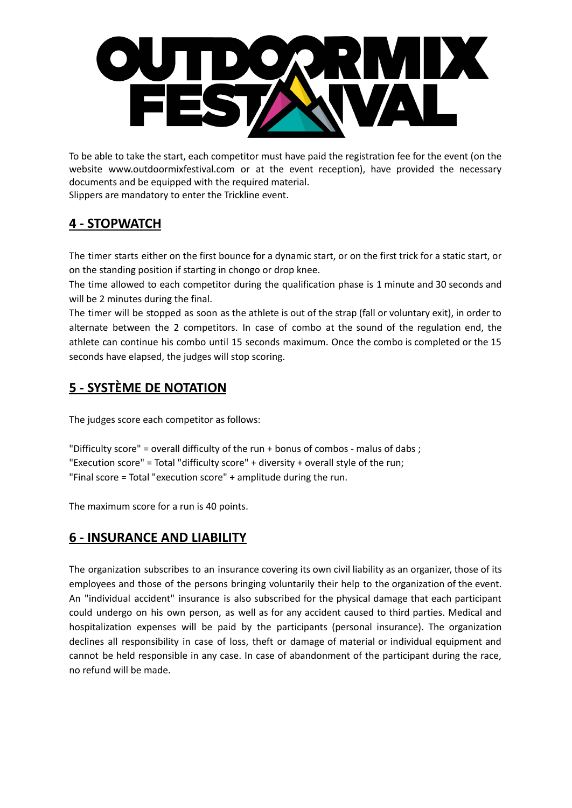

To be able to take the start, each competitor must have paid the registration fee for the event (on the website www.outdoormixfestival.com or at the event reception), have provided the necessary documents and be equipped with the required material. Slippers are mandatory to enter the Trickline event.

#### <span id="page-2-0"></span>**4 - STOPWATCH**

The timer starts either on the first bounce for a dynamic start, or on the first trick for a static start, or on the standing position if starting in chongo or drop knee.

The time allowed to each competitor during the qualification phase is 1 minute and 30 seconds and will be 2 minutes during the final.

The timer will be stopped as soon as the athlete is out of the strap (fall or voluntary exit), in order to alternate between the 2 competitors. In case of combo at the sound of the regulation end, the athlete can continue his combo until 15 seconds maximum. Once the combo is completed or the 15 seconds have elapsed, the judges will stop scoring.

# <span id="page-2-1"></span>**5 - SYSTÈME DE NOTATION**

The judges score each competitor as follows:

```
"Difficulty score" = overall difficulty of the run + bonus of combos - malus of dabs ;
"Execution score" = Total "difficulty score" + diversity + overall style of the run;
"Final score = Total "execution score" + amplitude during the run.
```
The maximum score for a run is 40 points.

#### <span id="page-2-2"></span>**6 - INSURANCE AND LIABILITY**

The organization subscribes to an insurance covering its own civil liability as an organizer, those of its employees and those of the persons bringing voluntarily their help to the organization of the event. An "individual accident" insurance is also subscribed for the physical damage that each participant could undergo on his own person, as well as for any accident caused to third parties. Medical and hospitalization expenses will be paid by the participants (personal insurance). The organization declines all responsibility in case of loss, theft or damage of material or individual equipment and cannot be held responsible in any case. In case of abandonment of the participant during the race, no refund will be made.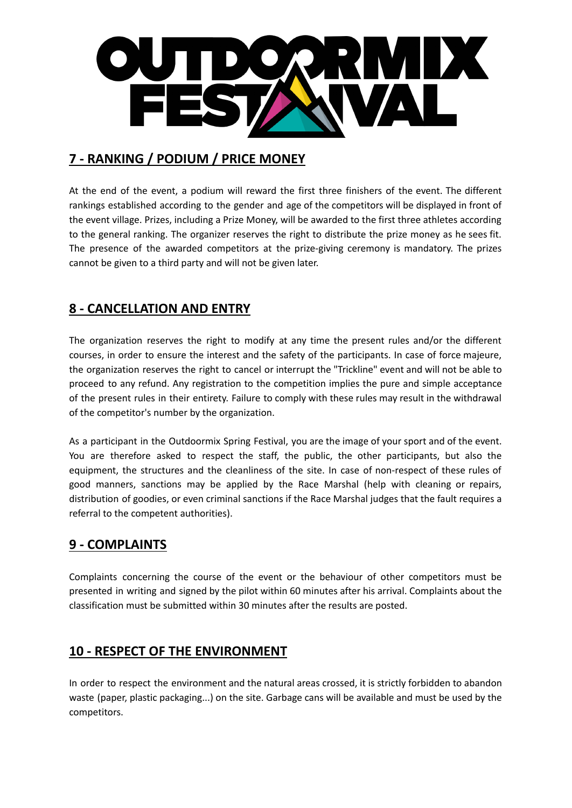

# <span id="page-3-0"></span>**7 - RANKING / PODIUM / PRICE MONEY**

At the end of the event, a podium will reward the first three finishers of the event. The different rankings established according to the gender and age of the competitors will be displayed in front of the event village. Prizes, including a Prize Money, will be awarded to the first three athletes according to the general ranking. The organizer reserves the right to distribute the prize money as he sees fit. The presence of the awarded competitors at the prize-giving ceremony is mandatory. The prizes cannot be given to a third party and will not be given later.

# <span id="page-3-1"></span>**8 - CANCELLATION AND ENTRY**

The organization reserves the right to modify at any time the present rules and/or the different courses, in order to ensure the interest and the safety of the participants. In case of force majeure, the organization reserves the right to cancel or interrupt the "Trickline" event and will not be able to proceed to any refund. Any registration to the competition implies the pure and simple acceptance of the present rules in their entirety. Failure to comply with these rules may result in the withdrawal of the competitor's number by the organization.

As a participant in the Outdoormix Spring Festival, you are the image of your sport and of the event. You are therefore asked to respect the staff, the public, the other participants, but also the equipment, the structures and the cleanliness of the site. In case of non-respect of these rules of good manners, sanctions may be applied by the Race Marshal (help with cleaning or repairs, distribution of goodies, or even criminal sanctions if the Race Marshal judges that the fault requires a referral to the competent authorities).

#### <span id="page-3-2"></span>**9 - COMPLAINTS**

Complaints concerning the course of the event or the behaviour of other competitors must be presented in writing and signed by the pilot within 60 minutes after his arrival. Complaints about the classification must be submitted within 30 minutes after the results are posted.

#### <span id="page-3-3"></span>**10 - RESPECT OF THE ENVIRONMENT**

In order to respect the environment and the natural areas crossed, it is strictly forbidden to abandon waste (paper, plastic packaging...) on the site. Garbage cans will be available and must be used by the competitors.